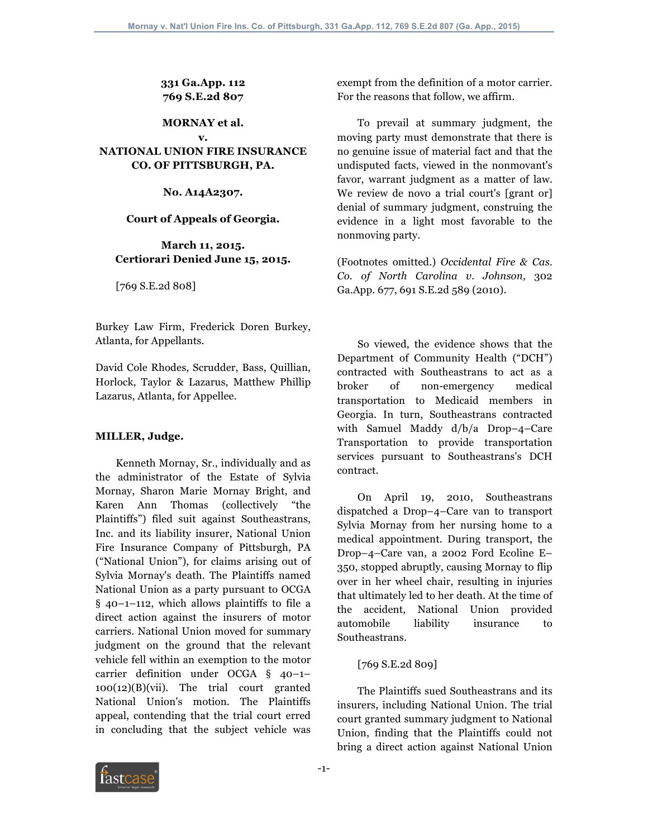**331 Ga.App. 112 769 S.E.2d 807**

#### **MORNAY et al. v.**

# **NATIONAL UNION FIRE INSURANCE CO. OF PITTSBURGH, PA.**

**No. A14A2307.**

#### **Court of Appeals of Georgia.**

#### **March 11, 2015. Certiorari Denied June 15, 2015.**

[769 S.E.2d 808]

Burkey Law Firm, Frederick Doren Burkey, Atlanta, for Appellants.

David Cole Rhodes, Scrudder, Bass, Quillian, Horlock, Taylor & Lazarus, Matthew Phillip Lazarus, Atlanta, for Appellee.

# **MILLER, Judge.**

 Kenneth Mornay, Sr., individually and as the administrator of the Estate of Sylvia Mornay, Sharon Marie Mornay Bright, and Karen Ann Thomas (collectively "the Plaintiffs") filed suit against Southeastrans, Inc. and its liability insurer, National Union Fire Insurance Company of Pittsburgh, PA ("National Union"), for claims arising out of Sylvia Mornay's death. The Plaintiffs named National Union as a party pursuant to OCGA § 40–1–112, which allows plaintiffs to file a direct action against the insurers of motor carriers. National Union moved for summary judgment on the ground that the relevant vehicle fell within an exemption to the motor carrier definition under OCGA § 40–1– 100(12)(B)(vii). The trial court granted National Union's motion. The Plaintiffs appeal, contending that the trial court erred in concluding that the subject vehicle was

exempt from the definition of a motor carrier. For the reasons that follow, we affirm.

 To prevail at summary judgment, the moving party must demonstrate that there is no genuine issue of material fact and that the undisputed facts, viewed in the nonmovant's favor, warrant judgment as a matter of law. We review de novo a trial court's [grant or] denial of summary judgment, construing the evidence in a light most favorable to the nonmoving party.

(Footnotes omitted.) *Occidental Fire & Cas. Co. of North Carolina v. Johnson,* 302 Ga.App. 677, 691 S.E.2d 589 (2010).

 So viewed, the evidence shows that the Department of Community Health ("DCH") contracted with Southeastrans to act as a broker of non-emergency medical transportation to Medicaid members in Georgia. In turn, Southeastrans contracted with Samuel Maddy d/b/a Drop–4–Care Transportation to provide transportation services pursuant to Southeastrans's DCH contract.

 On April 19, 2010, Southeastrans dispatched a Drop–4–Care van to transport Sylvia Mornay from her nursing home to a medical appointment. During transport, the Drop–4–Care van, a 2002 Ford Ecoline E– 350, stopped abruptly, causing Mornay to flip over in her wheel chair, resulting in injuries that ultimately led to her death. At the time of the accident, National Union provided automobile liability insurance to Southeastrans.

# [769 S.E.2d 809]

 The Plaintiffs sued Southeastrans and its insurers, including National Union. The trial court granted summary judgment to National Union, finding that the Plaintiffs could not bring a direct action against National Union

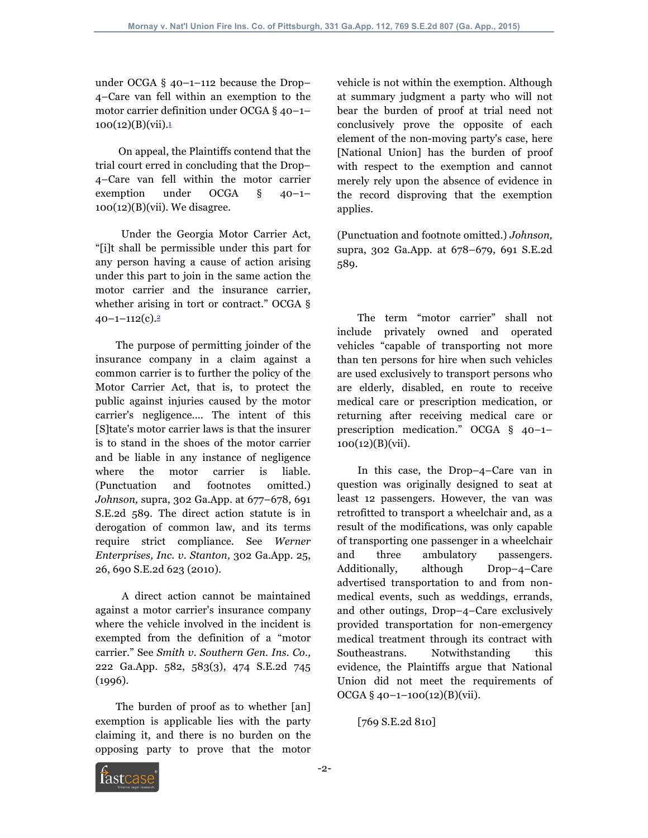under OCGA § 40–1–112 because the Drop– 4–Care van fell within an exemption to the motor carrier definition under OCGA § 40–1–  $100(12)(B)(vii).1$ 

 On appeal, the Plaintiffs contend that the trial court erred in concluding that the Drop– 4–Care van fell within the motor carrier exemption under OCGA § 40–1–  $100(12)(B)(vii)$ . We disagree.

 Under the Georgia Motor Carrier Act, "[i]t shall be permissible under this part for any person having a cause of action arising under this part to join in the same action the motor carrier and the insurance carrier, whether arising in tort or contract." OCGA §  $40 - 1 - 112(c)$ .<sup>2</sup>

 The purpose of permitting joinder of the insurance company in a claim against a common carrier is to further the policy of the Motor Carrier Act, that is, to protect the public against injuries caused by the motor carrier's negligence.... The intent of this [S]tate's motor carrier laws is that the insurer is to stand in the shoes of the motor carrier and be liable in any instance of negligence where the motor carrier is liable. (Punctuation and footnotes omitted.) *Johnson,* supra, 302 Ga.App. at 677–678, 691 S.E.2d 589. The direct action statute is in derogation of common law, and its terms require strict compliance. See *Werner Enterprises, Inc. v. Stanton,* 302 Ga.App. 25, 26, 690 S.E.2d 623 (2010).

 A direct action cannot be maintained against a motor carrier's insurance company where the vehicle involved in the incident is exempted from the definition of a "motor carrier." See *Smith v. Southern Gen. Ins. Co.,* 222 Ga.App. 582, 583(3), 474 S.E.2d 745 (1996).

 The burden of proof as to whether [an] exemption is applicable lies with the party claiming it, and there is no burden on the opposing party to prove that the motor

vehicle is not within the exemption. Although at summary judgment a party who will not bear the burden of proof at trial need not conclusively prove the opposite of each element of the non-moving party's case, here [National Union] has the burden of proof with respect to the exemption and cannot merely rely upon the absence of evidence in the record disproving that the exemption applies.

(Punctuation and footnote omitted.) *Johnson,* supra, 302 Ga.App. at 678–679, 691 S.E.2d 589.

 The term "motor carrier" shall not include privately owned and operated vehicles "capable of transporting not more than ten persons for hire when such vehicles are used exclusively to transport persons who are elderly, disabled, en route to receive medical care or prescription medication, or returning after receiving medical care or prescription medication." OCGA § 40–1– 100(12)(B)(vii).

 In this case, the Drop–4–Care van in question was originally designed to seat at least 12 passengers. However, the van was retrofitted to transport a wheelchair and, as a result of the modifications, was only capable of transporting one passenger in a wheelchair and three ambulatory passengers. Additionally, although Drop–4–Care advertised transportation to and from nonmedical events, such as weddings, errands, and other outings, Drop–4–Care exclusively provided transportation for non-emergency medical treatment through its contract with Southeastrans. Notwithstanding this evidence, the Plaintiffs argue that National Union did not meet the requirements of  $OCGA \$ § 40–1–100(12)(B)(vii).

[769 S.E.2d 810]

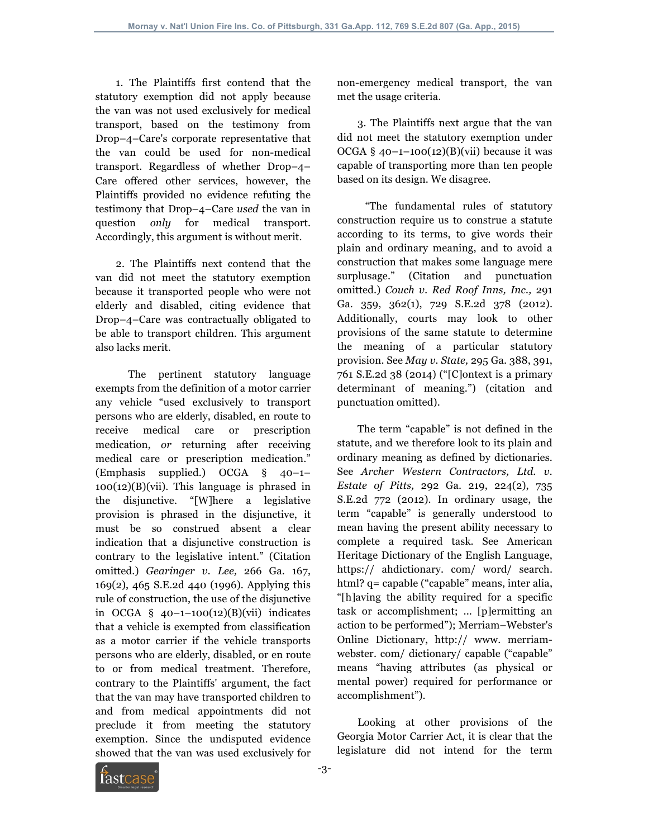1. The Plaintiffs first contend that the statutory exemption did not apply because the van was not used exclusively for medical transport, based on the testimony from Drop–4–Care's corporate representative that the van could be used for non-medical transport. Regardless of whether Drop–4– Care offered other services, however, the Plaintiffs provided no evidence refuting the testimony that Drop–4–Care *used* the van in question *only* for medical transport. Accordingly, this argument is without merit.

 2. The Plaintiffs next contend that the van did not meet the statutory exemption because it transported people who were not elderly and disabled, citing evidence that Drop–4–Care was contractually obligated to be able to transport children. This argument also lacks merit.

 The pertinent statutory language exempts from the definition of a motor carrier any vehicle "used exclusively to transport persons who are elderly, disabled, en route to receive medical care or prescription medication, *or* returning after receiving medical care or prescription medication." (Emphasis supplied.) OCGA § 40–1–  $100(12)(B)(vii)$ . This language is phrased in the disjunctive. "[W]here a legislative provision is phrased in the disjunctive, it must be so construed absent a clear indication that a disjunctive construction is contrary to the legislative intent." (Citation omitted.) *Gearinger v. Lee,* 266 Ga. 167, 169(2), 465 S.E.2d 440 (1996). Applying this rule of construction, the use of the disjunctive in OCGA  $\S$  40-1-100(12)(B)(vii) indicates that a vehicle is exempted from classification as a motor carrier if the vehicle transports persons who are elderly, disabled, or en route to or from medical treatment. Therefore, contrary to the Plaintiffs' argument, the fact that the van may have transported children to and from medical appointments did not preclude it from meeting the statutory exemption. Since the undisputed evidence showed that the van was used exclusively for

non-emergency medical transport, the van met the usage criteria.

 3. The Plaintiffs next argue that the van did not meet the statutory exemption under OCGA  $§$  40-1-100(12)(B)(vii) because it was capable of transporting more than ten people based on its design. We disagree.

 "The fundamental rules of statutory construction require us to construe a statute according to its terms, to give words their plain and ordinary meaning, and to avoid a construction that makes some language mere surplusage." (Citation and punctuation omitted.) *Couch v. Red Roof Inns, Inc.,* 291 Ga. 359, 362(1), 729 S.E.2d 378 (2012). Additionally, courts may look to other provisions of the same statute to determine the meaning of a particular statutory provision. See *May v. State,* 295 Ga. 388, 391, 761 S.E.2d 38 (2014) ("[C]ontext is a primary determinant of meaning.") (citation and punctuation omitted).

 The term "capable" is not defined in the statute, and we therefore look to its plain and ordinary meaning as defined by dictionaries. See *Archer Western Contractors, Ltd. v. Estate of Pitts,* 292 Ga. 219, 224(2), 735 S.E.2d 772 (2012). In ordinary usage, the term "capable" is generally understood to mean having the present ability necessary to complete a required task. See American Heritage Dictionary of the English Language, https:// ahdictionary. com/ word/ search. html? q= capable ("capable" means, inter alia, "[h]aving the ability required for a specific task or accomplishment; ... [p]ermitting an action to be performed"); Merriam–Webster's Online Dictionary, http:// www. merriamwebster. com/ dictionary/ capable ("capable" means "having attributes (as physical or mental power) required for performance or accomplishment").

 Looking at other provisions of the Georgia Motor Carrier Act, it is clear that the legislature did not intend for the term